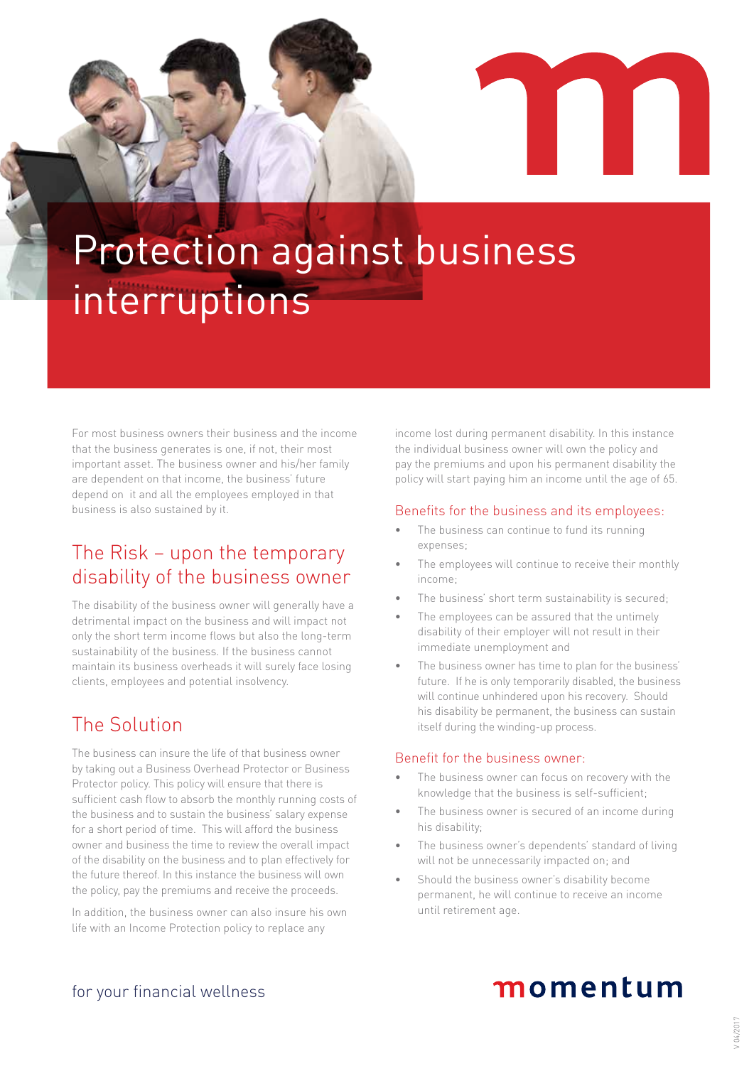## Protection against business interruptions

For most business owners their business and the income that the business generates is one, if not, their most important asset. The business owner and his/her family are dependent on that income, the business' future depend on it and all the employees employed in that business is also sustained by it.

## The Risk – upon the temporary disability of the business owner

The disability of the business owner will generally have a detrimental impact on the business and will impact not only the short term income flows but also the long-term sustainability of the business. If the business cannot maintain its business overheads it will surely face losing clients, employees and potential insolvency.

## The Solution

The business can insure the life of that business owner by taking out a Business Overhead Protector or Business Protector policy. This policy will ensure that there is sufficient cash flow to absorb the monthly running costs of the business and to sustain the business' salary expense for a short period of time. This will afford the business owner and business the time to review the overall impact of the disability on the business and to plan effectively for the future thereof. In this instance the business will own the policy, pay the premiums and receive the proceeds.

In addition, the business owner can also insure his own life with an Income Protection policy to replace any

income lost during permanent disability. In this instance the individual business owner will own the policy and pay the premiums and upon his permanent disability the policy will start paying him an income until the age of 65.

#### Benefits for the business and its employees:

- The business can continue to fund its running expenses;
- The employees will continue to receive their monthly income;
- The business' short term sustainability is secured;
- The employees can be assured that the untimely disability of their employer will not result in their immediate unemployment and
- The business owner has time to plan for the business' future. If he is only temporarily disabled, the business will continue unhindered upon his recovery. Should his disability be permanent, the business can sustain itself during the winding-up process.

#### Benefit for the business owner:

- The business owner can focus on recovery with the knowledge that the business is self-sufficient;
- The business owner is secured of an income during his disability;
- The business owner's dependents' standard of living will not be unnecessarily impacted on; and
- Should the business owner's disability become permanent, he will continue to receive an income until retirement age.

## momentum

for your financial wellness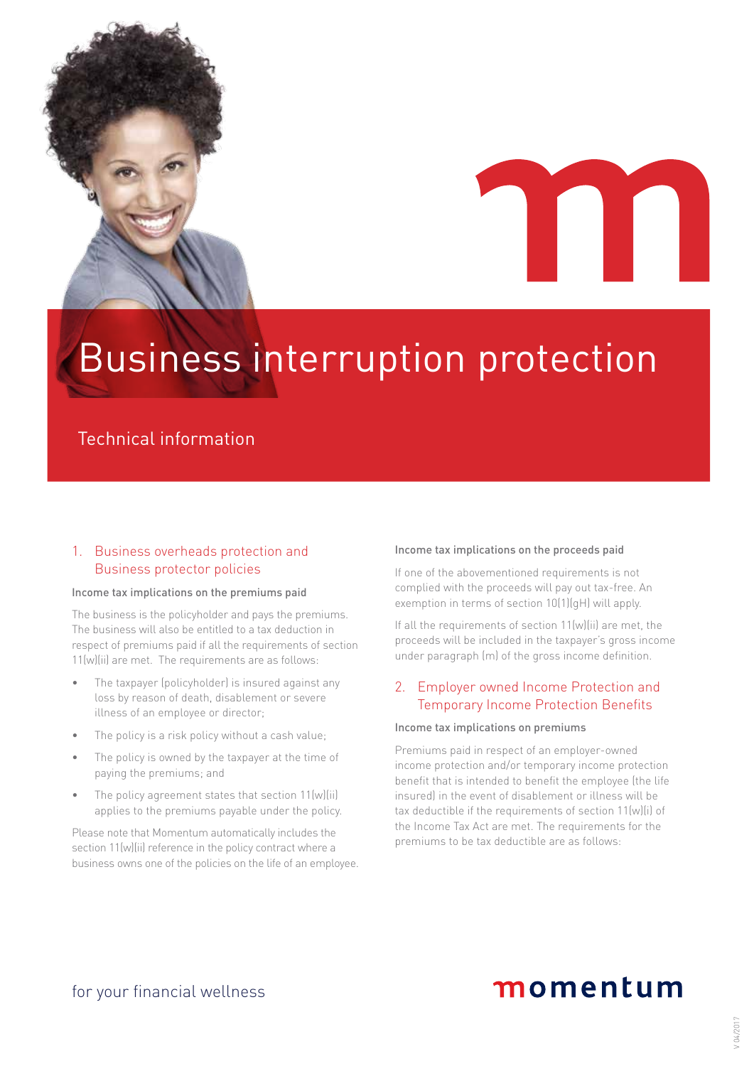

# Business interruption protection

### Technical information

#### 1. Business overheads protection and Business protector policies

#### Income tax implications on the premiums paid

The business is the policyholder and pays the premiums. The business will also be entitled to a tax deduction in respect of premiums paid if all the requirements of section 11(w)(ii) are met. The requirements are as follows:

- The taxpayer (policyholder) is insured against any loss by reason of death, disablement or severe illness of an employee or director;
- The policy is a risk policy without a cash value;
- The policy is owned by the taxpayer at the time of paying the premiums; and
- The policy agreement states that section 11(w)(ii) applies to the premiums payable under the policy.

Please note that Momentum automatically includes the section 11(w)(ii) reference in the policy contract where a business owns one of the policies on the life of an employee.

#### Income tax implications on the proceeds paid

If one of the abovementioned requirements is not complied with the proceeds will pay out tax-free. An exemption in terms of section 10(1)(gH) will apply.

If all the requirements of section 11(w)(ii) are met, the proceeds will be included in the taxpayer's gross income under paragraph (m) of the gross income definition.

#### 2. Employer owned Income Protection and Temporary Income Protection Benefits

#### Income tax implications on premiums

Premiums paid in respect of an employer-owned income protection and/or temporary income protection benefit that is intended to benefit the employee (the life insured) in the event of disablement or illness will be tax deductible if the requirements of section 11(w)(i) of the Income Tax Act are met. The requirements for the premiums to be tax deductible are as follows:

### for your financial wellness

## momentum